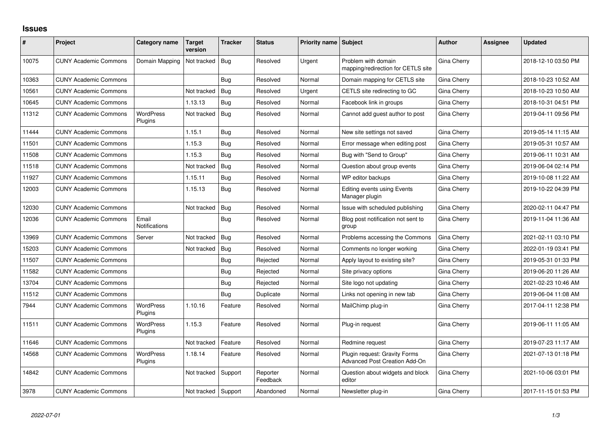## **Issues**

| #     | Project                      | Category name               | <b>Target</b><br>version | <b>Tracker</b> | <b>Status</b>        | Priority name Subject |                                                                | <b>Author</b> | Assignee | <b>Updated</b>      |
|-------|------------------------------|-----------------------------|--------------------------|----------------|----------------------|-----------------------|----------------------------------------------------------------|---------------|----------|---------------------|
| 10075 | <b>CUNY Academic Commons</b> | Domain Mapping              | Not tracked              | Bug            | Resolved             | Urgent                | Problem with domain<br>mapping/redirection for CETLS site      | Gina Cherry   |          | 2018-12-10 03:50 PM |
| 10363 | <b>CUNY Academic Commons</b> |                             |                          | <b>Bug</b>     | Resolved             | Normal                | Domain mapping for CETLS site                                  | Gina Cherry   |          | 2018-10-23 10:52 AM |
| 10561 | <b>CUNY Academic Commons</b> |                             | Not tracked              | <b>Bug</b>     | Resolved             | Urgent                | CETLS site redirecting to GC                                   | Gina Cherry   |          | 2018-10-23 10:50 AM |
| 10645 | <b>CUNY Academic Commons</b> |                             | 1.13.13                  | Bug            | Resolved             | Normal                | Facebook link in groups                                        | Gina Cherry   |          | 2018-10-31 04:51 PM |
| 11312 | <b>CUNY Academic Commons</b> | <b>WordPress</b><br>Plugins | Not tracked              | Bug            | Resolved             | Normal                | Cannot add guest author to post                                | Gina Cherry   |          | 2019-04-11 09:56 PM |
| 11444 | <b>CUNY Academic Commons</b> |                             | 1.15.1                   | Bug            | Resolved             | Normal                | New site settings not saved                                    | Gina Cherry   |          | 2019-05-14 11:15 AM |
| 11501 | <b>CUNY Academic Commons</b> |                             | 1.15.3                   | <b>Bug</b>     | Resolved             | Normal                | Error message when editing post                                | Gina Cherry   |          | 2019-05-31 10:57 AM |
| 11508 | <b>CUNY Academic Commons</b> |                             | 1.15.3                   | <b>Bug</b>     | Resolved             | Normal                | Bug with "Send to Group"                                       | Gina Cherry   |          | 2019-06-11 10:31 AM |
| 11518 | <b>CUNY Academic Commons</b> |                             | Not tracked              | Bug            | Resolved             | Normal                | Question about group events                                    | Gina Cherry   |          | 2019-06-04 02:14 PM |
| 11927 | <b>CUNY Academic Commons</b> |                             | 1.15.11                  | Bug            | Resolved             | Normal                | WP editor backups                                              | Gina Cherry   |          | 2019-10-08 11:22 AM |
| 12003 | <b>CUNY Academic Commons</b> |                             | 1.15.13                  | Bug            | Resolved             | Normal                | <b>Editing events using Events</b><br>Manager plugin           | Gina Cherry   |          | 2019-10-22 04:39 PM |
| 12030 | <b>CUNY Academic Commons</b> |                             | Not tracked              | Bug            | Resolved             | Normal                | Issue with scheduled publishing                                | Gina Cherry   |          | 2020-02-11 04:47 PM |
| 12036 | <b>CUNY Academic Commons</b> | Email<br>Notifications      |                          | Bug            | Resolved             | Normal                | Blog post notification not sent to<br>group                    | Gina Cherry   |          | 2019-11-04 11:36 AM |
| 13969 | <b>CUNY Academic Commons</b> | Server                      | Not tracked              | Bug            | Resolved             | Normal                | Problems accessing the Commons                                 | Gina Cherry   |          | 2021-02-11 03:10 PM |
| 15203 | <b>CUNY Academic Commons</b> |                             | Not tracked              | Bug            | Resolved             | Normal                | Comments no longer working                                     | Gina Cherry   |          | 2022-01-19 03:41 PM |
| 11507 | <b>CUNY Academic Commons</b> |                             |                          | Bug            | Rejected             | Normal                | Apply layout to existing site?                                 | Gina Cherry   |          | 2019-05-31 01:33 PM |
| 11582 | <b>CUNY Academic Commons</b> |                             |                          | Bug            | Rejected             | Normal                | Site privacy options                                           | Gina Cherry   |          | 2019-06-20 11:26 AM |
| 13704 | <b>CUNY Academic Commons</b> |                             |                          | <b>Bug</b>     | Rejected             | Normal                | Site logo not updating                                         | Gina Cherry   |          | 2021-02-23 10:46 AM |
| 11512 | <b>CUNY Academic Commons</b> |                             |                          | Bug            | Duplicate            | Normal                | Links not opening in new tab                                   | Gina Cherry   |          | 2019-06-04 11:08 AM |
| 7944  | <b>CUNY Academic Commons</b> | <b>WordPress</b><br>Plugins | 1.10.16                  | Feature        | Resolved             | Normal                | MailChimp plug-in                                              | Gina Cherry   |          | 2017-04-11 12:38 PM |
| 11511 | <b>CUNY Academic Commons</b> | <b>WordPress</b><br>Plugins | 1.15.3                   | Feature        | Resolved             | Normal                | Plug-in request                                                | Gina Cherry   |          | 2019-06-11 11:05 AM |
| 11646 | <b>CUNY Academic Commons</b> |                             | Not tracked              | Feature        | Resolved             | Normal                | Redmine request                                                | Gina Cherry   |          | 2019-07-23 11:17 AM |
| 14568 | <b>CUNY Academic Commons</b> | WordPress<br>Plugins        | 1.18.14                  | Feature        | Resolved             | Normal                | Plugin request: Gravity Forms<br>Advanced Post Creation Add-On | Gina Cherry   |          | 2021-07-13 01:18 PM |
| 14842 | <b>CUNY Academic Commons</b> |                             | Not tracked              | Support        | Reporter<br>Feedback | Normal                | Question about widgets and block<br>editor                     | Gina Cherry   |          | 2021-10-06 03:01 PM |
| 3978  | <b>CUNY Academic Commons</b> |                             | Not tracked Support      |                | Abandoned            | Normal                | Newsletter plug-in                                             | Gina Cherry   |          | 2017-11-15 01:53 PM |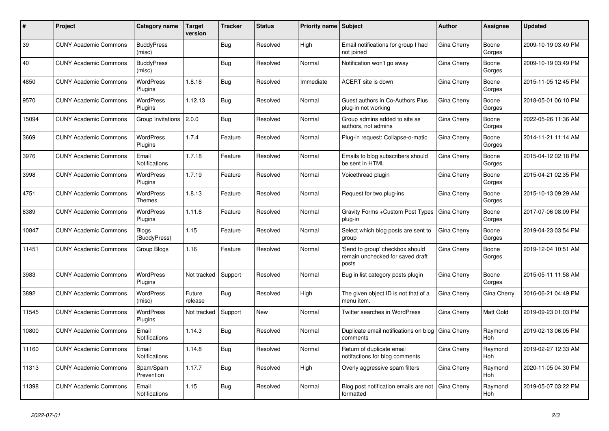| ∦     | Project                      | <b>Category name</b>          | <b>Target</b><br>version | <b>Tracker</b> | <b>Status</b> | <b>Priority name   Subject</b> |                                                                              | <b>Author</b>      | Assignee              | <b>Updated</b>      |
|-------|------------------------------|-------------------------------|--------------------------|----------------|---------------|--------------------------------|------------------------------------------------------------------------------|--------------------|-----------------------|---------------------|
| 39    | <b>CUNY Academic Commons</b> | <b>BuddyPress</b><br>(misc)   |                          | <b>Bug</b>     | Resolved      | High                           | Email notifications for group I had<br>not joined                            | Gina Cherry        | Boone<br>Gorges       | 2009-10-19 03:49 PM |
| 40    | <b>CUNY Academic Commons</b> | <b>BuddyPress</b><br>(misc)   |                          | <b>Bug</b>     | Resolved      | Normal                         | Notification won't go away                                                   | Gina Cherry        | Boone<br>Gorges       | 2009-10-19 03:49 PM |
| 4850  | <b>CUNY Academic Commons</b> | <b>WordPress</b><br>Plugins   | 1.8.16                   | <b>Bug</b>     | Resolved      | Immediate                      | ACERT site is down                                                           | Gina Cherry        | Boone<br>Gorges       | 2015-11-05 12:45 PM |
| 9570  | <b>CUNY Academic Commons</b> | WordPress<br>Plugins          | 1.12.13                  | Bug            | Resolved      | Normal                         | Guest authors in Co-Authors Plus<br>plug-in not working                      | Gina Cherry        | Boone<br>Gorges       | 2018-05-01 06:10 PM |
| 15094 | <b>CUNY Academic Commons</b> | Group Invitations             | 2.0.0                    | Bug            | Resolved      | Normal                         | Group admins added to site as<br>authors, not admins                         | Gina Cherry        | Boone<br>Gorges       | 2022-05-26 11:36 AM |
| 3669  | <b>CUNY Academic Commons</b> | <b>WordPress</b><br>Plugins   | 1.7.4                    | Feature        | Resolved      | Normal                         | Plug-in request: Collapse-o-matic                                            | Gina Cherry        | Boone<br>Gorges       | 2014-11-21 11:14 AM |
| 3976  | <b>CUNY Academic Commons</b> | Email<br>Notifications        | 1.7.18                   | Feature        | Resolved      | Normal                         | Emails to blog subscribers should<br>be sent in HTML                         | Gina Cherry        | Boone<br>Gorges       | 2015-04-12 02:18 PM |
| 3998  | <b>CUNY Academic Commons</b> | <b>WordPress</b><br>Plugins   | 1.7.19                   | Feature        | Resolved      | Normal                         | Voicethread plugin                                                           | Gina Cherry        | Boone<br>Gorges       | 2015-04-21 02:35 PM |
| 4751  | <b>CUNY Academic Commons</b> | <b>WordPress</b><br>Themes    | 1.8.13                   | Feature        | Resolved      | Normal                         | Request for two plug-ins                                                     | Gina Cherry        | Boone<br>Gorges       | 2015-10-13 09:29 AM |
| 8389  | <b>CUNY Academic Commons</b> | <b>WordPress</b><br>Plugins   | 1.11.6                   | Feature        | Resolved      | Normal                         | Gravity Forms + Custom Post Types<br>plug-in                                 | <b>Gina Cherry</b> | Boone<br>Gorges       | 2017-07-06 08:09 PM |
| 10847 | <b>CUNY Academic Commons</b> | Blogs<br>(BuddyPress)         | 1.15                     | Feature        | Resolved      | Normal                         | Select which blog posts are sent to<br>group                                 | Gina Cherry        | Boone<br>Gorges       | 2019-04-23 03:54 PM |
| 11451 | <b>CUNY Academic Commons</b> | Group Blogs                   | 1.16                     | Feature        | Resolved      | Normal                         | 'Send to group' checkbox should<br>remain unchecked for saved draft<br>posts | Gina Cherry        | Boone<br>Gorges       | 2019-12-04 10:51 AM |
| 3983  | <b>CUNY Academic Commons</b> | <b>WordPress</b><br>Plugins   | Not tracked              | Support        | Resolved      | Normal                         | Bug in list category posts plugin                                            | Gina Cherry        | Boone<br>Gorges       | 2015-05-11 11:58 AM |
| 3892  | <b>CUNY Academic Commons</b> | <b>WordPress</b><br>(misc)    | Future<br>release        | Bug            | Resolved      | High                           | The given object ID is not that of a<br>menu item.                           | Gina Cherry        | Gina Cherry           | 2016-06-21 04:49 PM |
| 11545 | <b>CUNY Academic Commons</b> | <b>WordPress</b><br>Plugins   | Not tracked              | Support        | <b>New</b>    | Normal                         | <b>Twitter searches in WordPress</b>                                         | Gina Cherry        | Matt Gold             | 2019-09-23 01:03 PM |
| 10800 | <b>CUNY Academic Commons</b> | Email<br><b>Notifications</b> | 1.14.3                   | <b>Bug</b>     | Resolved      | Normal                         | Duplicate email notifications on blog<br>comments                            | Gina Cherry        | Raymond<br><b>Hoh</b> | 2019-02-13 06:05 PM |
| 11160 | <b>CUNY Academic Commons</b> | Email<br><b>Notifications</b> | 1.14.8                   | Bug            | Resolved      | Normal                         | Return of duplicate email<br>notifactions for blog comments                  | Gina Cherry        | Raymond<br><b>Hoh</b> | 2019-02-27 12:33 AM |
| 11313 | <b>CUNY Academic Commons</b> | Spam/Spam<br>Prevention       | 1.17.7                   | Bug            | Resolved      | High                           | Overly aggressive spam filters                                               | Gina Cherry        | Raymond<br>Hoh        | 2020-11-05 04:30 PM |
| 11398 | <b>CUNY Academic Commons</b> | Email<br>Notifications        | 1.15                     | Bug            | Resolved      | Normal                         | Blog post notification emails are not<br>formatted                           | Gina Cherry        | Raymond<br>Hoh        | 2019-05-07 03:22 PM |